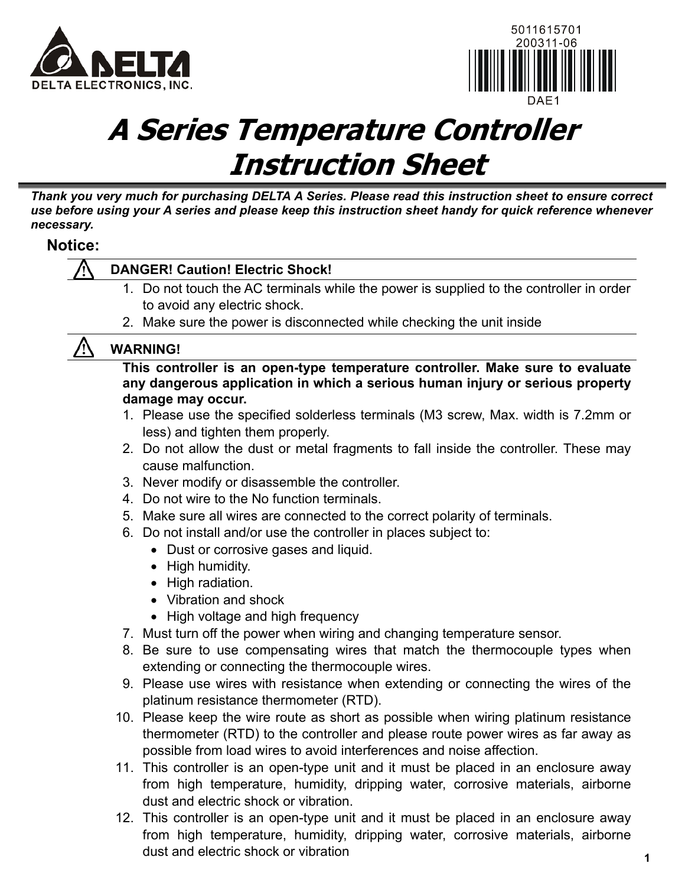



# **A Series Temperature Controller Instruction Sheet**

*Thank you very much for purchasing DELTA A Series. Please read this instruction sheet to ensure correct use before using your A series and please keep this instruction sheet handy for quick reference whenever necessary.* 

### **Notice:**

### **DANGER! Caution! Electric Shock!**

- 1. Do not touch the AC terminals while the power is supplied to the controller in order to avoid any electric shock.
- 2. Make sure the power is disconnected while checking the unit inside

### **WARNING!**

**This controller is an open-type temperature controller. Make sure to evaluate any dangerous application in which a serious human injury or serious property damage may occur.** 

- 1. Please use the specified solderless terminals (M3 screw, Max. width is 7.2mm or less) and tighten them properly.
- 2. Do not allow the dust or metal fragments to fall inside the controller. These may cause malfunction.
- 3. Never modify or disassemble the controller.
- 4. Do not wire to the No function terminals.
- 5. Make sure all wires are connected to the correct polarity of terminals.
- 6. Do not install and/or use the controller in places subject to:
	- Dust or corrosive gases and liquid.
		- High humidity.
		- High radiation.
		- Vibration and shock
		- High voltage and high frequency
- 7. Must turn off the power when wiring and changing temperature sensor.
- 8. Be sure to use compensating wires that match the thermocouple types when extending or connecting the thermocouple wires.
- 9. Please use wires with resistance when extending or connecting the wires of the platinum resistance thermometer (RTD).
- 10. Please keep the wire route as short as possible when wiring platinum resistance thermometer (RTD) to the controller and please route power wires as far away as possible from load wires to avoid interferences and noise affection.
- 11. This controller is an open-type unit and it must be placed in an enclosure away from high temperature, humidity, dripping water, corrosive materials, airborne dust and electric shock or vibration.
- 12. This controller is an open-type unit and it must be placed in an enclosure away from high temperature, humidity, dripping water, corrosive materials, airborne dust and electric shock or vibration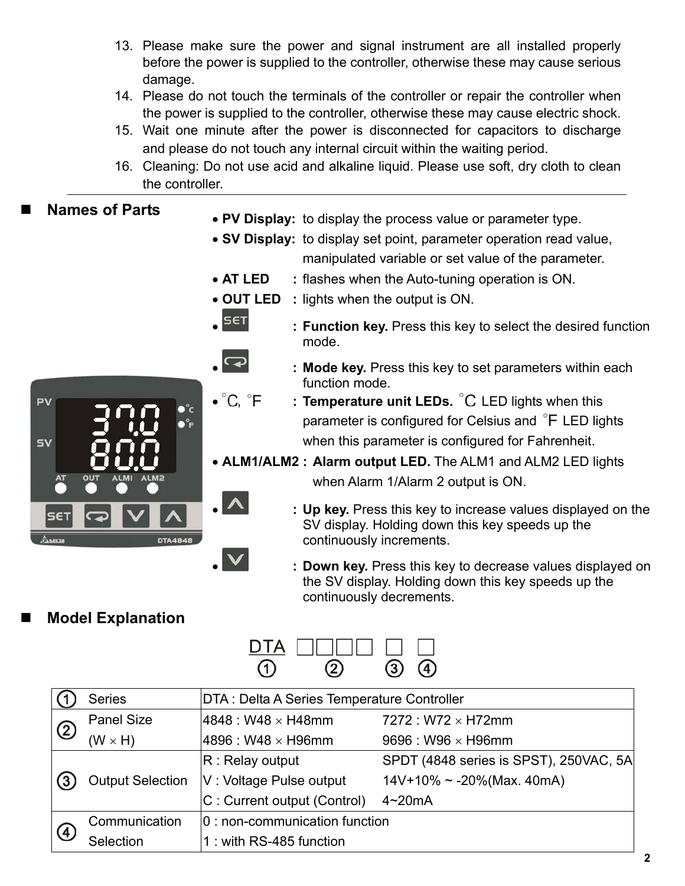- 13. Please make sure the power and signal instrument are all installed properly before the power is supplied to the controller, otherwise these may cause serious damage.
- 14. Please do not touch the terminals of the controller or repair the controller when the power is supplied to the controller, otherwise these may cause electric shock.
- 15. Wait one minute after the power is disconnected for capacitors to discharge and please do not touch any internal circuit within the waiting period.
- 16. Cleaning: Do not use acid and alkaline liquid. Please use soft, dry cloth to clean the controller.

### **Names of Parts**

- **PV Display:** to display the process value or parameter type.
- **SV Display:** to display set point, parameter operation read value, manipulated variable or set value of the parameter.
- **AT LED :** flashes when the Auto-tuning operation is ON.
- **OUT LED :** lights when the output is ON.



- **ELECT EXECUTE:** Function key. Press this key to select the desired function mode.
- **: Mode key.** Press this key to set parameters within each function mode.<br>C, °F : Temperature u
	- : **Temperature unit LEDs.** C LED lights when this parameter is configured for Celsius and  $\degree$ F LED lights when this parameter is configured for Fahrenheit.
- **ALM1/ALM2 : Alarm output LED.** The ALM1 and ALM2 LED lights when Alarm 1/Alarm 2 output is ON.
- **: Up key.** Press this key to increase values displayed on the SV display. Holding down this key speeds up the continuously increments.
	- **: Down key.** Press this key to decrease values displayed on the SV display. Holding down this key speeds up the continuously decrements.

### **Model Explanation**



|               | <b>Series</b>           | DTA : Delta A Series Temperature Controller |                                        |  |
|---------------|-------------------------|---------------------------------------------|----------------------------------------|--|
| $\circled{2}$ | <b>Panel Size</b>       | $ 4848: W48 \times H48$ mm                  | $7272: W72 \times H72mm$               |  |
|               | $(W \times H)$          | 4896 : W48 × H96mm                          | $9696: W96 \times H96$ mm              |  |
| (3)           |                         | $ R:$ Relay output                          | SPDT (4848 series is SPST), 250VAC, 5A |  |
|               | <b>Output Selection</b> | V: Voltage Pulse output                     | $14V+10\% \sim -20\%$ (Max. 40mA)      |  |
|               |                         | C: Current output (Control)                 | $4 \sim 20$ mA                         |  |
|               | Communication           | 0 : non-communication function              |                                        |  |
| (4)           | Selection               | 1: with RS-485 function                     |                                        |  |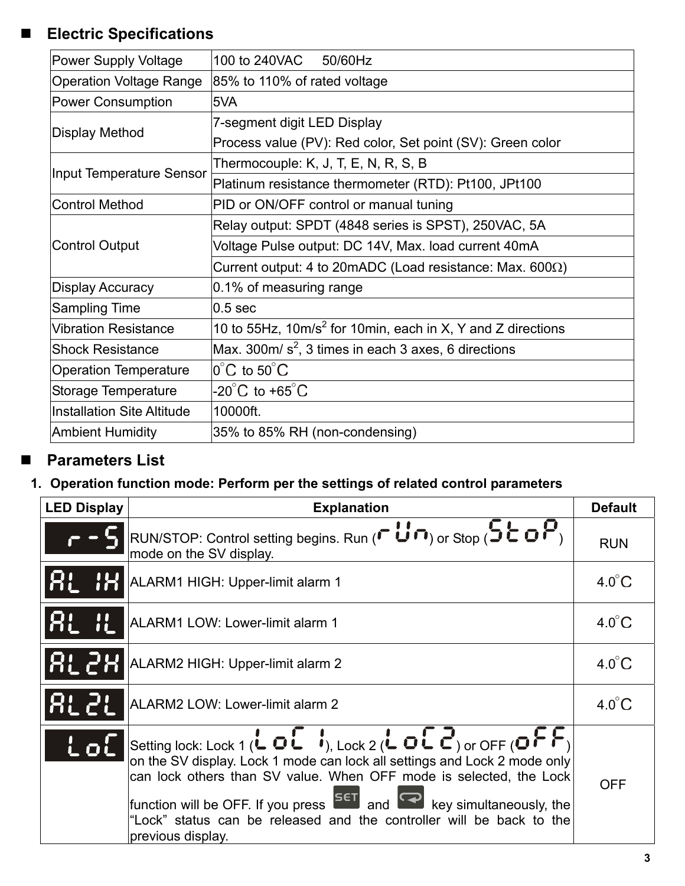# **Electric Specifications**

| <b>Power Supply Voltage</b>       | 100 to 240VAC 50/60Hz                                                   |  |  |
|-----------------------------------|-------------------------------------------------------------------------|--|--|
| <b>Operation Voltage Range</b>    | 85% to 110% of rated voltage                                            |  |  |
| <b>Power Consumption</b>          | 5VA                                                                     |  |  |
|                                   | 7-segment digit LED Display                                             |  |  |
| <b>Display Method</b>             | Process value (PV): Red color, Set point (SV): Green color              |  |  |
| Input Temperature Sensor          | Thermocouple: K, J, T, E, N, R, S, B                                    |  |  |
|                                   | Platinum resistance thermometer (RTD): Pt100, JPt100                    |  |  |
| <b>Control Method</b>             | PID or ON/OFF control or manual tuning                                  |  |  |
|                                   | Relay output: SPDT (4848 series is SPST), 250VAC, 5A                    |  |  |
| <b>Control Output</b>             | Voltage Pulse output: DC 14V, Max. load current 40mA                    |  |  |
|                                   | Current output: 4 to 20mADC (Load resistance: Max. 600Ω)                |  |  |
| <b>Display Accuracy</b>           | 0.1% of measuring range                                                 |  |  |
| <b>Sampling Time</b>              | $ 0.5 \text{ sec} $                                                     |  |  |
| <b>Vibration Resistance</b>       | 10 to 55Hz, 10m/s <sup>2</sup> for 10min, each in X, Y and Z directions |  |  |
| <b>Shock Resistance</b>           | Max. 300m/ $s^2$ , 3 times in each 3 axes, 6 directions                 |  |  |
| <b>Operation Temperature</b>      | $ 0^{\circ}$ C to 50 $^{\circ}$ C                                       |  |  |
| Storage Temperature               | $-20^{\circ}$ C to $+65^{\circ}$ C                                      |  |  |
| <b>Installation Site Altitude</b> | 10000ft.                                                                |  |  |
| <b>Ambient Humidity</b>           | 35% to 85% RH (non-condensing)                                          |  |  |

# **Parameters List**

### **1. Operation function mode: Perform per the settings of related control parameters**

| <b>LED Display</b> | <b>Explanation</b>                                                                                                                                                                                                                                                                                                                                                                                                            | <b>Default</b>  |
|--------------------|-------------------------------------------------------------------------------------------------------------------------------------------------------------------------------------------------------------------------------------------------------------------------------------------------------------------------------------------------------------------------------------------------------------------------------|-----------------|
|                    | RUN/STOP: Control setting begins. Run ( $\Gamma$ $\cup$ $\cap$ ) or Stop ( $\overline{5}$ $\subset$ $\overline{P}$ )<br>mode on the SV display.                                                                                                                                                                                                                                                                               | <b>RUN</b>      |
|                    | ALARM1 HIGH: Upper-limit alarm 1                                                                                                                                                                                                                                                                                                                                                                                              | $4.0^{\circ}$ C |
|                    | ALARM1 LOW: Lower-limit alarm 1                                                                                                                                                                                                                                                                                                                                                                                               | $4.0^{\circ}$ C |
|                    | ALARM2 HIGH: Upper-limit alarm 2                                                                                                                                                                                                                                                                                                                                                                                              | $4.0^{\circ}$ C |
|                    | ALARM2 LOW: Lower-limit alarm 2                                                                                                                                                                                                                                                                                                                                                                                               | $4.0^{\circ}$ C |
| <u>l ol</u>        | Setting lock: Lock 1 (L O L $\bullet$ ), Lock 2 (L O L C) or OFF (O F F)<br>on the SV display. Lock 1 mode can lock all settings and Lock 2 mode only<br>can lock others than SV value. When OFF mode is selected, the Lock<br>function will be OFF. If you press $\overline{S^{ET}}$ and $\overline{C}$ key simultaneously, the<br>"Lock" status can be released and the controller will be back to the<br>previous display. | <b>OFF</b>      |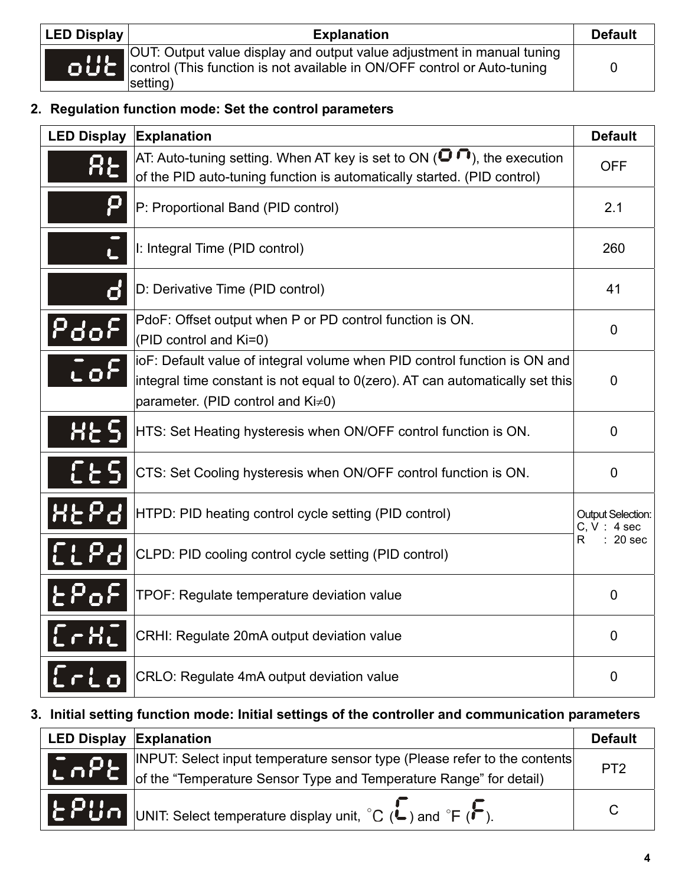| <b>LED Display</b> | <b>Explanation</b>                                                                                                                                             | <b>Default</b> |
|--------------------|----------------------------------------------------------------------------------------------------------------------------------------------------------------|----------------|
|                    | OUT: Output value display and output value adjustment in manual tuning<br>control (This function is not available in ON/OFF control or Auto-tuning<br>setting) | 0              |

### **2. Regulation function mode: Set the control parameters**

| <b>LED Display</b>        | Explanation                                                                                                                                                                                     |                                         |
|---------------------------|-------------------------------------------------------------------------------------------------------------------------------------------------------------------------------------------------|-----------------------------------------|
|                           | AT: Auto-tuning setting. When AT key is set to ON ( $\blacksquare$ $\blacksquare$ ), the execution<br>of the PID auto-tuning function is automatically started. (PID control)                   | <b>OFF</b>                              |
| P                         | P: Proportional Band (PID control)                                                                                                                                                              | 2.1                                     |
| L                         | I: Integral Time (PID control)                                                                                                                                                                  | 260                                     |
| ď                         | D: Derivative Time (PID control)                                                                                                                                                                | 41                                      |
|                           | PdoF: Offset output when P or PD control function is ON.<br>(PID control and Ki=0)                                                                                                              | 0                                       |
| $\mathbf{L} \mathbf{0}^t$ | ioF: Default value of integral volume when PID control function is ON and<br>integral time constant is not equal to 0(zero). AT can automatically set this<br>parameter. (PID control and Ki≠0) | 0                                       |
| <b>HES</b>                | HTS: Set Heating hysteresis when ON/OFF control function is ON.                                                                                                                                 | 0                                       |
| <b>CES</b>                | CTS: Set Cooling hysteresis when ON/OFF control function is ON.                                                                                                                                 | 0                                       |
| <u> 8559</u>              | HTPD: PID heating control cycle setting (PID control)                                                                                                                                           | <b>Output Selection:</b><br>C, V: 4 sec |
| <u> El Pa</u>             | CLPD: PID cooling control cycle setting (PID control)                                                                                                                                           | R<br>$: 20$ sec                         |
| $E_{\mathbf{p}}$          | TPOF: Regulate temperature deviation value                                                                                                                                                      | $\Omega$                                |
| [ <b>L</b>                | CRHI: Regulate 20mA output deviation value                                                                                                                                                      | 0                                       |
|                           | CRLO: Regulate 4mA output deviation value                                                                                                                                                       | 0                                       |

### **3. Initial setting function mode: Initial settings of the controller and communication parameters**

| <b>LED Display Explanation</b> |                                                                                                                                                  | <b>Default</b>  |
|--------------------------------|--------------------------------------------------------------------------------------------------------------------------------------------------|-----------------|
| $ C \cap P$                    | INPUT: Select input temperature sensor type (Please refer to the contents)<br>of the "Temperature Sensor Type and Temperature Range" for detail) | PT <sub>2</sub> |
|                                | EPUn UNIT: Select temperature display unit, °C (L) and °F (F).                                                                                   | C               |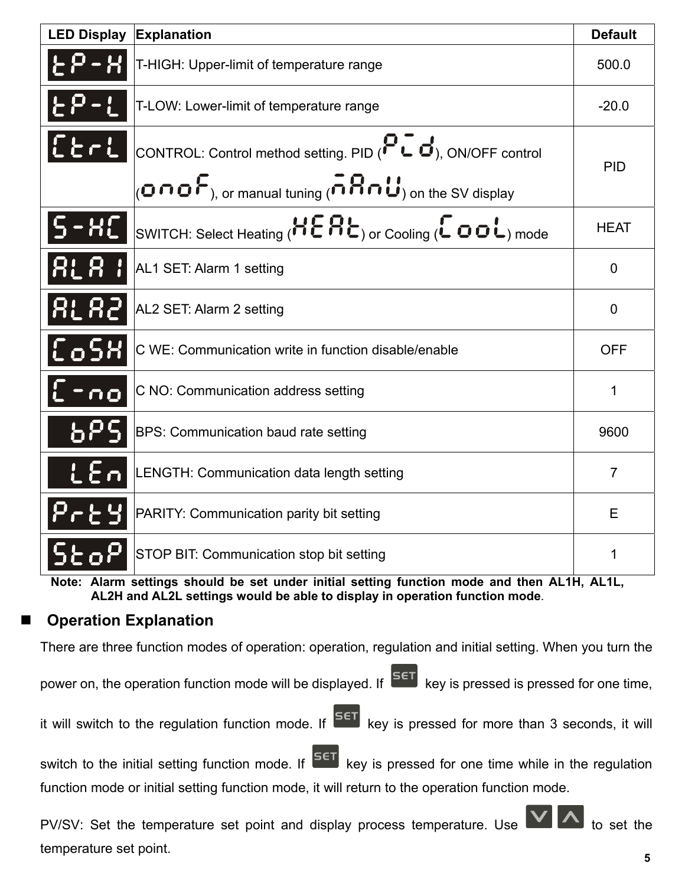| <b>LED Display</b> | Explanation                                                                                                                                   | <b>Default</b> |  |
|--------------------|-----------------------------------------------------------------------------------------------------------------------------------------------|----------------|--|
| 2 - XI             | T-HIGH: Upper-limit of temperature range                                                                                                      | 500.0          |  |
|                    | T-LOW: Lower-limit of temperature range                                                                                                       | $-20.0$        |  |
| $E$ erl            | CONTROL: Control method setting. PID ( $\bullet\subset\bullet$ ), ON/OFF control                                                              |                |  |
|                    | $_{(Q}$ no $F_{)$ , or manual tuning (nnman $_{(q)}$ on the SV display                                                                        | <b>PID</b>     |  |
| <b>HL</b>          | SWITCH: Select Heating ( $\overline{H} \overline{E} \overline{H} \overline{E}$ ) or Cooling ( $\overline{L} \overline{D} \overline{L}$ ) mode | <b>HEAT</b>    |  |
| <b>RLAI</b>        | AL1 SET: Alarm 1 setting                                                                                                                      | $\mathbf 0$    |  |
| <b>ALA2</b>        | AL2 SET: Alarm 2 setting                                                                                                                      | $\mathbf 0$    |  |
| CoSX               | C WE: Communication write in function disable/enable                                                                                          | <b>OFF</b>     |  |
| $L - n$ o          | C NO: Communication address setting                                                                                                           | $\mathbf{1}$   |  |
| 6P                 | BPS: Communication baud rate setting                                                                                                          | 9600           |  |
| LEA                | LENGTH: Communication data length setting                                                                                                     | $\overline{7}$ |  |
| Pr 291             | PARITY: Communication parity bit setting                                                                                                      | E              |  |
|                    | STOP BIT: Communication stop bit setting                                                                                                      | 1              |  |
|                    | Note: Alarm settings should be set under initial setting function mode and then AL1H, AL1L,                                                   |                |  |

**AL2H and AL2L settings would be able to display in operation function mode**.

### **Operation Explanation**

There are three function modes of operation: operation, regulation and initial setting. When you turn the

power on, the operation function mode will be displayed. If  $\overline{S}^{ET}$  key is pressed is pressed for one time,

it will switch to the regulation function mode. If  $\overline{SET}$  key is pressed for more than 3 seconds, it will

switch to the initial setting function mode. If  $\overline{SET}$  key is pressed for one time while in the regulation function mode or initial setting function mode, it will return to the operation function mode.

PV/SV: Set the temperature set point and display process temperature. Use  $\mathbf{V}$   $\mathbf{A}$  to set the temperature set point.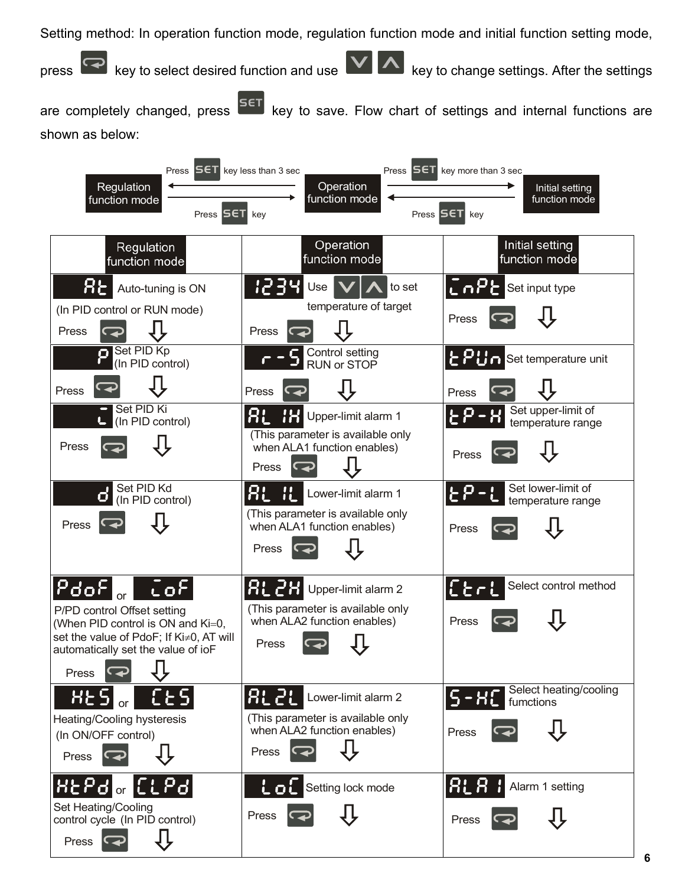Setting method: In operation function mode, regulation function mode and initial function setting mode,

press  $\bigcirc$  key to select desired function and use  $\bigcirc$  A key to change settings. After the settings

are completely changed, press **SET** key to save. Flow chart of settings and internal functions are shown as below:

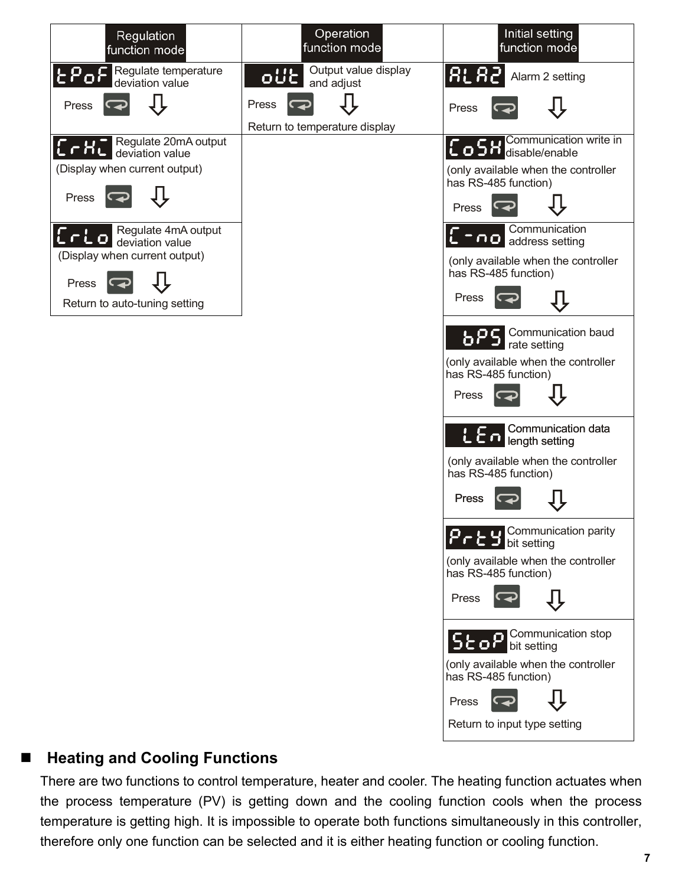

### ■ Heating and Cooling Functions

There are two functions to control temperature, heater and cooler. The heating function actuates when the process temperature (PV) is getting down and the cooling function cools when the process temperature is getting high. It is impossible to operate both functions simultaneously in this controller, therefore only one function can be selected and it is either heating function or cooling function.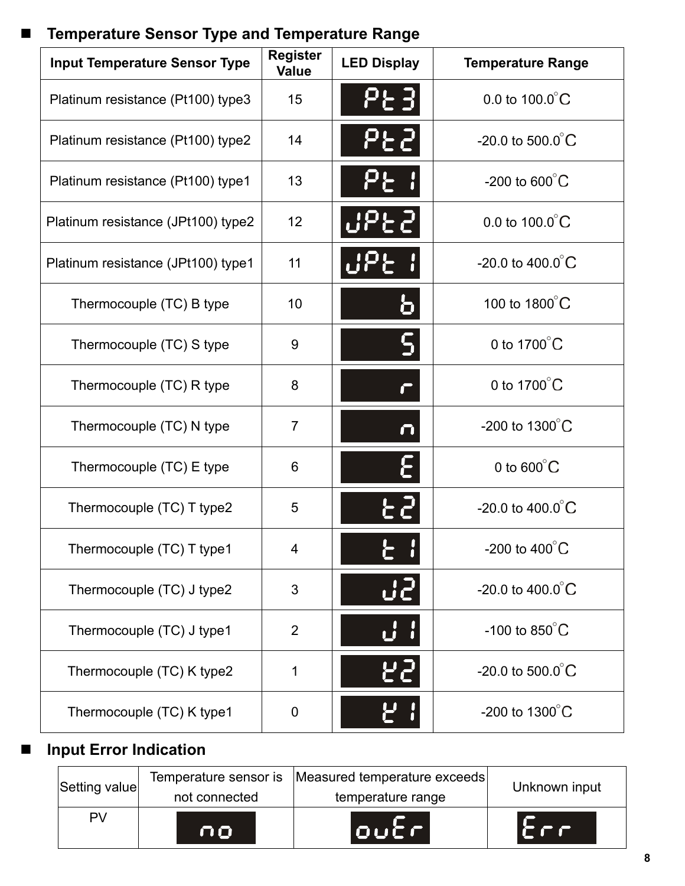# **Temperature Sensor Type and Temperature Range**

| <b>Input Temperature Sensor Type</b> | <b>Register</b><br><b>Value</b> | <b>LED Display</b>  | <b>Temperature Range</b>      |
|--------------------------------------|---------------------------------|---------------------|-------------------------------|
| Platinum resistance (Pt100) type3    | 15                              | <b>PE31</b>         | 0.0 to $100.0^{\circ}$ C      |
| Platinum resistance (Pt100) type2    | 14                              | <b>PEZ</b>          | -20.0 to 500.0 $^{\circ}$ C   |
| Platinum resistance (Pt100) type1    | 13                              |                     | -200 to $600^{\circ}$ C       |
| Platinum resistance (JPt100) type2   | 12                              |                     | 0.0 to $100.0^{\circ}$ C      |
| Platinum resistance (JPt100) type1   | 11                              |                     | -20.0 to $400.0^{\circ}$ C    |
| Thermocouple (TC) B type             | 10                              |                     | 100 to 1800°C                 |
| Thermocouple (TC) S type             | 9                               |                     | 0 to $1700^{\circ}$ C         |
| Thermocouple (TC) R type             | 8                               |                     | 0 to $1700^{\circ}$ C         |
| Thermocouple (TC) N type             | $\overline{7}$                  | $\boldsymbol{\cap}$ | -200 to $1300^{\circ}$ C      |
| Thermocouple (TC) E type             | 6                               |                     | 0 to $600^{\circ}$ C          |
| Thermocouple (TC) T type2            | 5                               |                     | $-20.0$ to $400.0^{\circ}$ C  |
| Thermocouple (TC) T type1            | 4                               |                     | -200 to 400 $^{\circ}$ C      |
| Thermocouple (TC) J type2            | 3                               | <b>J</b>            | $-20.0$ to $400.0^{\circ}$ C  |
| Thermocouple (TC) J type1            | $\overline{2}$                  |                     | -100 to $850^{\circ}$ C       |
| Thermocouple (TC) K type2            | $\mathbf 1$                     | 55                  | $-20.0$ to 500.0 $^{\circ}$ C |
| Thermocouple (TC) K type1            | 0                               |                     | -200 to $1300^{\circ}$ C      |

# **Input Error Indication**

| PV            | not connected<br>no. | temperature range<br>$[0\cup\mathcal{C}$ $\cap$    | <b>COLOR</b>  |  |
|---------------|----------------------|----------------------------------------------------|---------------|--|
| Setting value |                      | Temperature sensor is Measured temperature exceeds | Unknown input |  |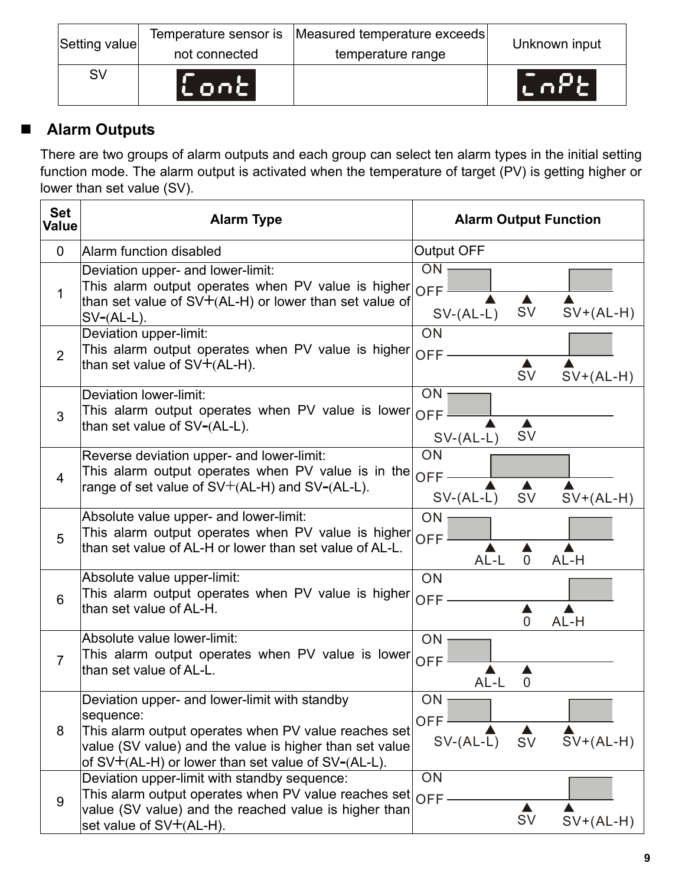| Setting value | Temperature sensor is<br>not connected | Measured temperature exceeds<br>temperature range | Unknown input |
|---------------|----------------------------------------|---------------------------------------------------|---------------|
| SV            | $\mathsf{L}$ ont)                      |                                                   | W APP.        |

# **Alarm Outputs**

There are two groups of alarm outputs and each group can select ten alarm types in the initial setting function mode. The alarm output is activated when the temperature of target (PV) is getting higher or lower than set value (SV).

| <b>Set</b><br><b>Value</b> | <b>Alarm Type</b>                                                                                                                                                                                                                        | <b>Alarm Output Function</b>                                     |
|----------------------------|------------------------------------------------------------------------------------------------------------------------------------------------------------------------------------------------------------------------------------------|------------------------------------------------------------------|
| $\mathbf 0$                | Alarm function disabled                                                                                                                                                                                                                  | <b>Output OFF</b>                                                |
| 1                          | Deviation upper- and lower-limit:<br>This alarm output operates when PV value is higher<br>than set value of $SV+(AL-H)$ or lower than set value of<br>$SV-(AL-L)$ .                                                                     | ON<br><b>OFF</b><br><b>SV</b><br>$SV+(AL-H)$<br>$SV-(AL-L)$      |
| $\overline{2}$             | Deviation upper-limit:<br>This alarm output operates when PV value is higher<br>than set value of SV+(AL-H).                                                                                                                             | ON<br><b>OFF</b><br><b>SV</b><br>$SV+(AL-H)$                     |
| 3                          | Deviation lower-limit:<br>This alarm output operates when PV value is lower<br>than set value of SV-(AL-L).                                                                                                                              | ON<br><b>OFF</b><br>$\blacktriangle$<br><b>SV</b><br>$SV-(AL-L)$ |
| $\overline{4}$             | Reverse deviation upper- and lower-limit:<br>This alarm output operates when PV value is in the<br>range of set value of $SV+(AL-H)$ and $SV-(AL-L)$ .                                                                                   | ON<br><b>OFF</b><br>$SV-(AL-L)$<br><b>SV</b><br>$SV+(AL-H)$      |
| 5                          | Absolute value upper- and lower-limit:<br>This alarm output operates when PV value is higher<br>than set value of AL-H or lower than set value of AL-L.                                                                                  | ON<br><b>OFF</b><br>AL-L<br>$\overline{0}$<br>AL-H               |
| 6                          | Absolute value upper-limit:<br>This alarm output operates when PV value is higher<br>than set value of AL-H.                                                                                                                             | ON<br><b>OFF</b><br>AL-H<br>$\overline{0}$                       |
| $\overline{7}$             | Absolute value lower-limit:<br>This alarm output operates when PV value is lower<br>than set value of AL-L.                                                                                                                              | ON<br><b>OFF</b><br>AL-L<br>$\mathbf 0$                          |
| 8                          | Deviation upper- and lower-limit with standby<br>sequence:<br>This alarm output operates when PV value reaches set<br>value (SV value) and the value is higher than set value<br>of $SV+(AL-H)$ or lower than set value of $SV-(AL-L)$ . | ON<br><b>OFF</b><br>$SV+(AL-H)$<br>$SV-(AL-L)$<br><b>SV</b>      |
| 9                          | Deviation upper-limit with standby sequence:<br>This alarm output operates when PV value reaches set<br>value (SV value) and the reached value is higher than<br>set value of SV+(AL-H).                                                 | ON<br><b>OFF</b><br>SV<br>$SV+(AL-H)$                            |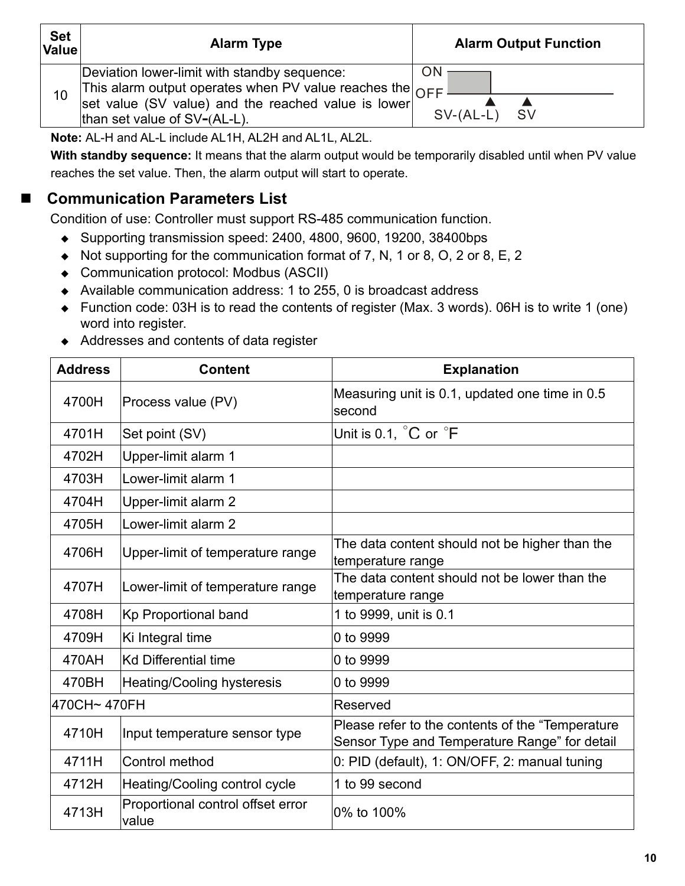| <b>Set</b><br>Value | <b>Alarm Type</b>                                                                                                                                                                                             | <b>Alarm Output Function</b>   |
|---------------------|---------------------------------------------------------------------------------------------------------------------------------------------------------------------------------------------------------------|--------------------------------|
| 10                  | Deviation lower-limit with standby sequence:<br>This alarm output operates when PV value reaches the $ _{\bigcap FF} $<br>set value (SV value) and the reached value is lower<br>than set value of SV-(AL-L). | ON<br>$SV-(AL-L)$<br><b>SV</b> |

**Note:** AL-H and AL-L include AL1H, AL2H and AL1L, AL2L.

**With standby sequence:** It means that the alarm output would be temporarily disabled until when PV value reaches the set value. Then, the alarm output will start to operate.

# ■ Communication Parameters List

Condition of use: Controller must support RS-485 communication function.

- ◆ Supporting transmission speed: 2400, 4800, 9600, 19200, 38400bps
- $\blacklozenge$  Not supporting for the communication format of 7, N, 1 or 8, O, 2 or 8, E, 2
- Communication protocol: Modbus (ASCII)
- Available communication address: 1 to 255, 0 is broadcast address
- ◆ Function code: 03H is to read the contents of register (Max. 3 words). 06H is to write 1 (one) word into register.
- Addresses and contents of data register

| <b>Address</b> | <b>Content</b>                             | <b>Explanation</b>                                                                                 |  |  |
|----------------|--------------------------------------------|----------------------------------------------------------------------------------------------------|--|--|
| 4700H          | Process value (PV)                         | Measuring unit is 0.1, updated one time in 0.5<br>second                                           |  |  |
| 4701H          | Set point (SV)                             | Unit is 0.1, C or F                                                                                |  |  |
| 4702H          | Upper-limit alarm 1                        |                                                                                                    |  |  |
| 4703H          | Lower-limit alarm 1                        |                                                                                                    |  |  |
| 4704H          | Upper-limit alarm 2                        |                                                                                                    |  |  |
| 4705H          | Lower-limit alarm 2                        |                                                                                                    |  |  |
| 4706H          | Upper-limit of temperature range           | The data content should not be higher than the<br>temperature range                                |  |  |
| 4707H          | Lower-limit of temperature range           | The data content should not be lower than the<br>temperature range                                 |  |  |
| 4708H          | Kp Proportional band                       | 1 to 9999, unit is 0.1                                                                             |  |  |
| 4709H          | Ki Integral time                           | 0 to 9999                                                                                          |  |  |
| 470AH          | <b>Kd Differential time</b>                | 0 to 9999                                                                                          |  |  |
| 470BH          | Heating/Cooling hysteresis                 | 0 to 9999                                                                                          |  |  |
| 470CH~470FH    |                                            | Reserved                                                                                           |  |  |
| 4710H          | Input temperature sensor type              | Please refer to the contents of the "Temperature"<br>Sensor Type and Temperature Range" for detail |  |  |
| 4711H          | Control method                             | 0: PID (default), 1: ON/OFF, 2: manual tuning                                                      |  |  |
| 4712H          | Heating/Cooling control cycle              | 1 to 99 second                                                                                     |  |  |
| 4713H          | Proportional control offset error<br>value | 0% to 100%                                                                                         |  |  |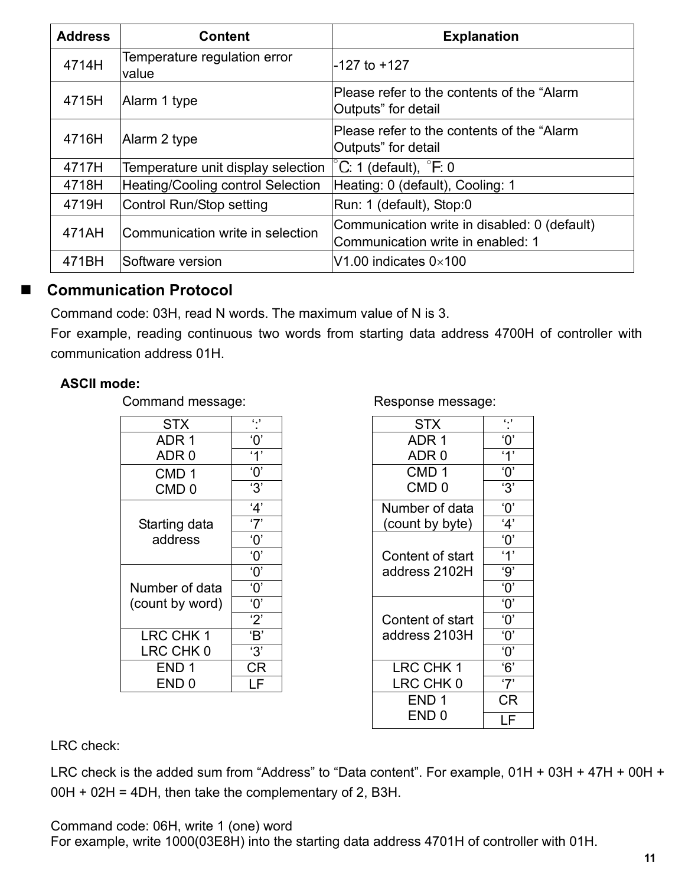| <b>Address</b> | <b>Content</b>                           | <b>Explanation</b>                                                                |
|----------------|------------------------------------------|-----------------------------------------------------------------------------------|
| 4714H          | Temperature regulation error<br>value    | -127 to +127                                                                      |
| 4715H          | Alarm 1 type                             | Please refer to the contents of the "Alarm<br>Outputs" for detail                 |
| 4716H          | Alarm 2 type                             | Please refer to the contents of the "Alarm"<br>Outputs" for detail                |
| 4717H          | Temperature unit display selection       | $^{\circ}$ C. 1 (default), $^{\circ}$ F. 0                                        |
| 4718H          | <b>Heating/Cooling control Selection</b> | Heating: 0 (default), Cooling: 1                                                  |
| 4719H          | Control Run/Stop setting                 | Run: 1 (default), Stop:0                                                          |
| 471AH          | Communication write in selection         | Communication write in disabled: 0 (default)<br>Communication write in enabled: 1 |
| 471BH          | Software version                         | V1.00 indicates $0\times100$                                                      |

### **Communication Protocol**

Command code: 03H, read N words. The maximum value of N is 3.

For example, reading continuous two words from starting data address 4700H of controller with communication address 01H.

### **ASCII mode:**

Command message: Response message:

| STX              | $\cdot$ .             |
|------------------|-----------------------|
| ADR 1            | $^{\prime}$ O'        |
| ADR 0            | '1'                   |
| CMD <sub>1</sub> | $^{\prime}0^{\prime}$ |
| CMD <sub>0</sub> | '3'                   |
|                  | '4'                   |
| Starting data    | '7'                   |
| address          | 'ዐ'                   |
|                  | $^{\prime}0^{\prime}$ |
|                  | $^{\prime}0^{\prime}$ |
| Number of data   | '0'                   |
| (count by word)  | '0'                   |
|                  | '2'                   |
| LRC CHK 1        | 'B'                   |
| LRC CHK 0        | '3'                   |
| END 1            | СR                    |
| END 0            |                       |

| <b>STX</b>       | $\cdot$ .             | <b>STX</b>       | $\cdot$ .             |
|------------------|-----------------------|------------------|-----------------------|
| ADR <sub>1</sub> | $^{\prime}0^{\prime}$ | ADR <sub>1</sub> | $^{\prime}0^{\prime}$ |
| ADR 0            | $\overline{1}$        | ADR 0            | '1'                   |
| CMD <sub>1</sub> | $^{\prime}0^{\prime}$ | CMD <sub>1</sub> | $^{\prime}0^{\prime}$ |
| CMD <sub>0</sub> | '3'                   | CMD <sub>0</sub> | '3'                   |
|                  | 4'                    | Number of data   | $^{\prime}0^{\prime}$ |
| Starting data    | '7'                   | (count by byte)  | 4'                    |
| address          | $^{\prime}0^{\prime}$ |                  | $^{\prime}0^{\prime}$ |
|                  | $^{\prime}0^{\prime}$ | Content of start | '1'                   |
|                  | $^{\prime}0^{\prime}$ | address 2102H    | '9'                   |
| umber of data    | $^{\prime}0^{\prime}$ |                  | $^{\prime}0^{\prime}$ |
| ount by word)    | $^{\prime}0^{\prime}$ |                  | $^{\prime}0^{\prime}$ |
|                  | 2'                    | Content of start | $^{\prime}0^{\prime}$ |
| LRC CHK 1        | 'B'                   | address 2103H    | $^{\prime}0^{\prime}$ |
| LRC CHK 0        | '3'                   |                  | $^{\prime}0^{\prime}$ |
| END <sub>1</sub> | CR                    | LRC CHK 1        | 6'                    |
| END <sub>0</sub> | LF                    | LRC CHK 0        | '7'                   |
|                  |                       | END <sub>1</sub> | <b>CR</b>             |
|                  |                       | END <sub>0</sub> | LF                    |

LRC check:

LRC check is the added sum from "Address" to "Data content". For example, 01H + 03H + 47H + 00H +  $00H + 02H = 4DH$ , then take the complementary of 2, B3H.

Command code: 06H, write 1 (one) word

For example, write 1000(03E8H) into the starting data address 4701H of controller with 01H.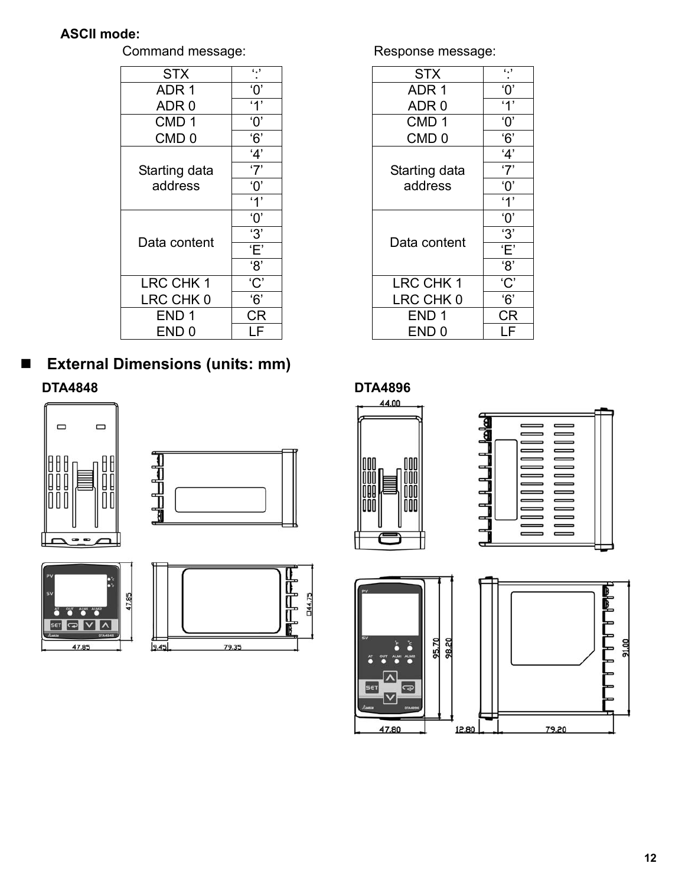### **ASCII mode:**

| c,                    |
|-----------------------|
| $^{\prime}0^{\prime}$ |
| $^{\circ}$ 1'         |
| $^{\prime}0^{\prime}$ |
| 6'                    |
| 4'                    |
| '7'                   |
| $^{\prime}0^{\prime}$ |
| 4'                    |
| $\overline{O}$        |
| '3'                   |
| Έ'                    |
| '8'                   |
| 'C'                   |
| $\overline{6}$        |
| CR                    |
| I F                   |
|                       |

 **External Dimensions (units: mm) DTA4848 DTA4896** 









Command message: Response message:

| <b>STX</b>       | $\cdot$ .             | <b>STX</b>                                                 | $\cdot$ .             |
|------------------|-----------------------|------------------------------------------------------------|-----------------------|
| ADR <sub>1</sub> | ʹΟ,                   | ADR <sub>1</sub>                                           | $^{\prime}0^{\prime}$ |
| ADR <sub>0</sub> | '1'                   | ADR <sub>0</sub>                                           | '1'                   |
| CMD <sub>1</sub> | $^{\prime}0^{\prime}$ | CMD <sub>1</sub>                                           | $^{\prime}0^{\prime}$ |
| CMD <sub>0</sub> | 6'                    | CMD <sub>0</sub>                                           | 6'                    |
|                  | 4'                    |                                                            | 4'                    |
| Starting data    | '7'                   | Starting data                                              | '7'                   |
| address          | $^{\prime}0^{\prime}$ | address                                                    | $^{\prime}0^{\prime}$ |
|                  | '1'                   |                                                            | '1'                   |
|                  | $^{\prime}0^{\prime}$ |                                                            | $^{\prime}0^{\prime}$ |
| Data content     | '3'                   | Data content<br>LRC CHK 1<br>LRC CHK 0<br>END <sub>1</sub> | '3'                   |
|                  | Έ'                    |                                                            | Έ'                    |
|                  | '8'                   |                                                            | '8'                   |
| LRC CHK 1        | C'                    |                                                            | C'                    |
| LRC CHK 0        | 6'                    |                                                            | 6'                    |
| END <sub>1</sub> | <b>CR</b>             |                                                            | CR                    |
| END <sub>0</sub> | LF                    | END <sub>0</sub>                                           | LF                    |







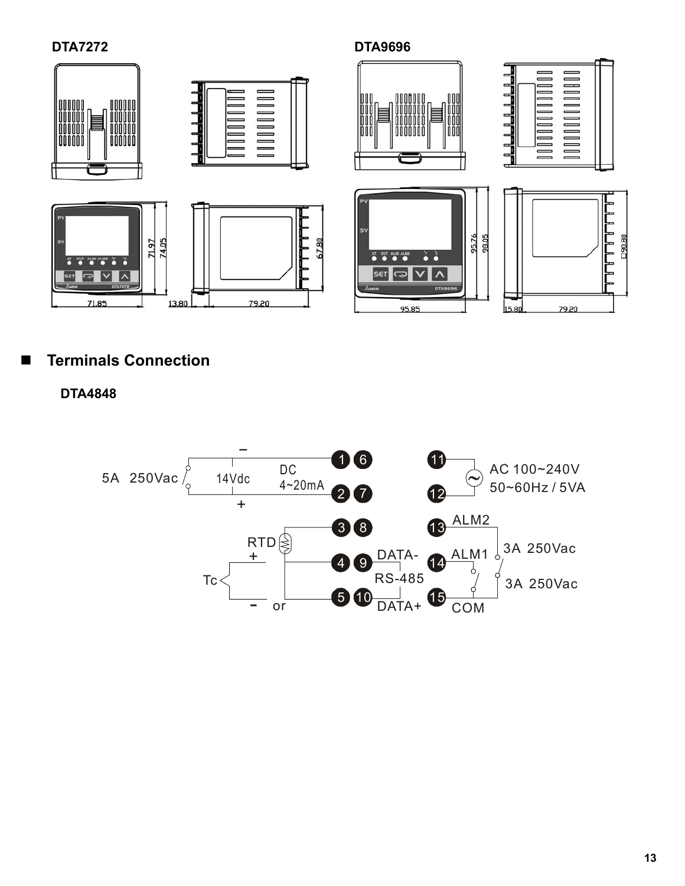**DTA7272 DTA9696** 



# **Terminals Connection**

**DTA4848** 

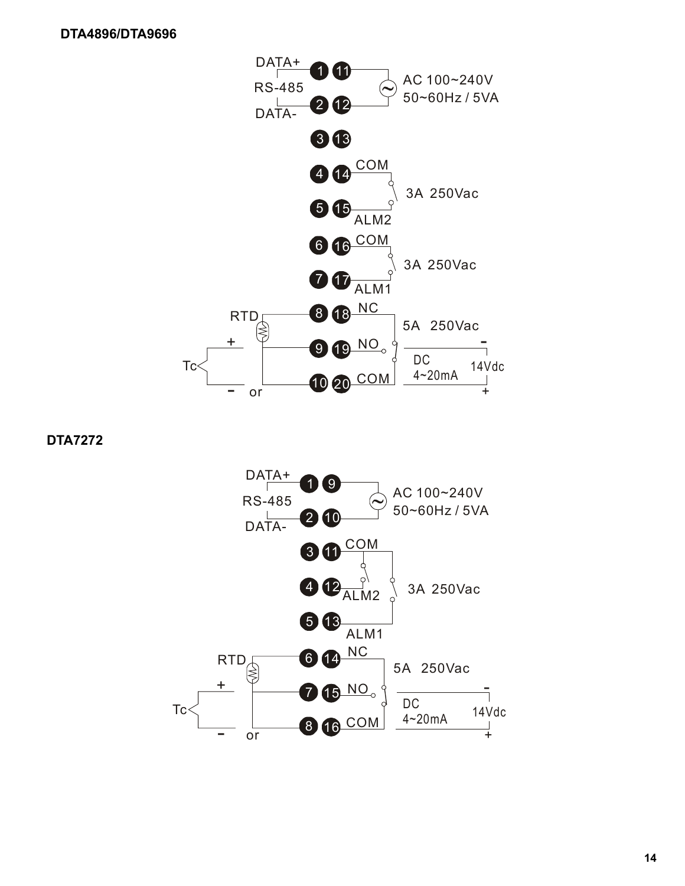

 **DTA7272** 

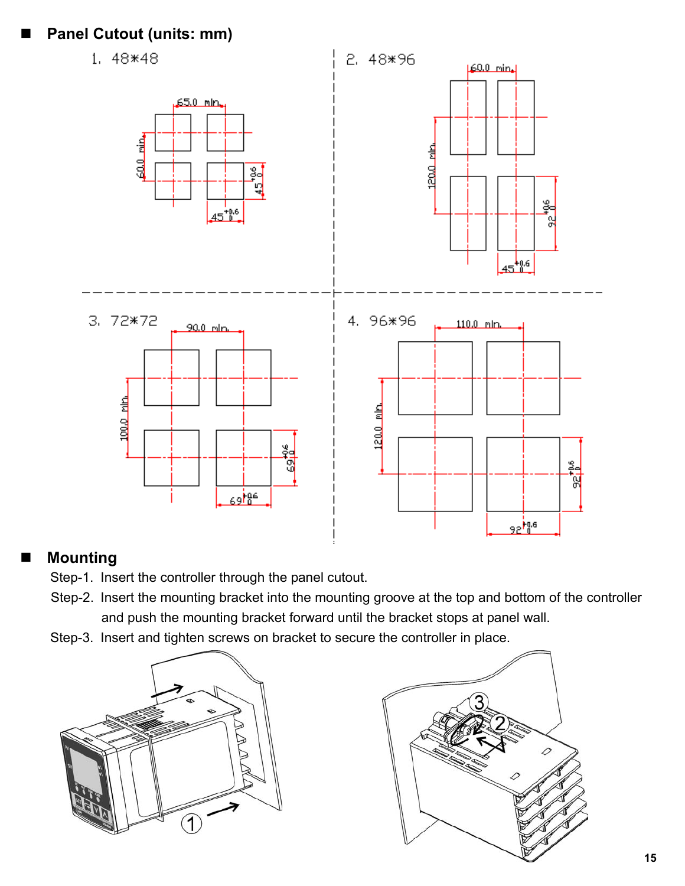# **Panel Cutout (units: mm)**



## **Mounting**

- Step-1. Insert the controller through the panel cutout.
- Step-2. Insert the mounting bracket into the mounting groove at the top and bottom of the controller and push the mounting bracket forward until the bracket stops at panel wall.
- Step-3. Insert and tighten screws on bracket to secure the controller in place.